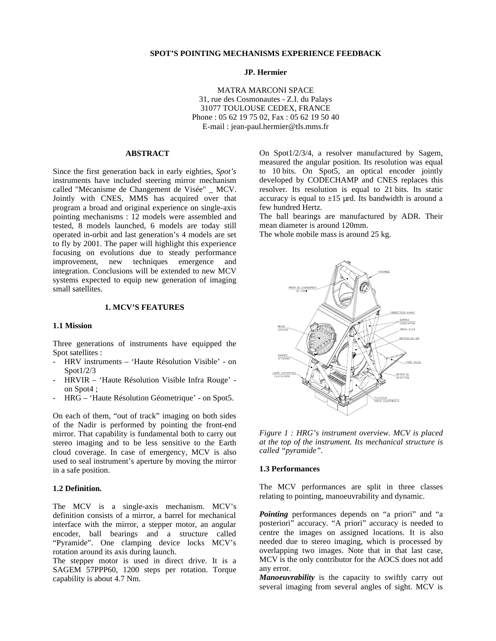# **JP. Hermier**

MATRA MARCONI SPACE 31, rue des Cosmonautes - Z.I. du Palays 31077 TOULOUSE CEDEX, FRANCE Phone : 05 62 19 75 02, Fax : 05 62 19 50 40 E-mail : jean-paul.hermier@tls.mms.fr

# **ABSTRACT**

Since the first generation back in early eighties, *Spot's* instruments have included steering mirror mechanism called "Mécanisme de Changement de Visée" \_ MCV. Jointly with CNES, MMS has acquired over that program a broad and original experience on single-axis pointing mechanisms : 12 models were assembled and tested, 8 models launched, 6 models are today still operated in-orbit and last generation's 4 models are set to fly by 2001. The paper will highlight this experience focusing on evolutions due to steady performance<br>improvement, new techniques emergence and improvement, new techniques emergence and integration. Conclusions will be extended to new MCV systems expected to equip new generation of imaging small satellites.

# **1. MCV'S FEATURES**

# **1.1 Mission**

Three generations of instruments have equipped the Spot satellites :

- HRV instruments 'Haute Résolution Visible' on Spot1/2/3
- HRVIR 'Haute Résolution Visible Infra Rouge' on Spot4 ;
- HRG 'Haute Résolution Géometrique' on Spot5.

On each of them, "out of track" imaging on both sides of the Nadir is performed by pointing the front-end mirror. That capability is fundamental both to carry out stereo imaging and to be less sensitive to the Earth cloud coverage. In case of emergency, MCV is also used to seal instrument's aperture by moving the mirror in a safe position.

#### **1.2 Definition.**

The MCV is a single-axis mechanism. MCV's definition consists of a mirror, a barrel for mechanical interface with the mirror, a stepper motor, an angular encoder, ball bearings and a structure called "Pyramide". One clamping device locks MCV's rotation around its axis during launch.

The stepper motor is used in direct drive. It is a SAGEM 57PPP60, 1200 steps per rotation. Torque capability is about 4.7 Nm.

On Spot1/2/3/4, a resolver manufactured by Sagem, measured the angular position. Its resolution was equal to 10 bits. On Spot5, an optical encoder jointly developed by CODECHAMP and CNES replaces this resolver. Its resolution is equal to 21 bits. Its static accuracy is equal to  $\pm 15$  µrd. Its bandwidth is around a few hundred Hertz.

The ball bearings are manufactured by ADR. Their mean diameter is around 120mm.

The whole mobile mass is around 25 kg.



*Figure 1 : HRG's instrument overview. MCV is placed at the top of the instrument. Its mechanical structure is called "pyramide".*

### **1.3 Performances**

The MCV performances are split in three classes relating to pointing, manoeuvrability and dynamic.

*Pointing* performances depends on "a priori" and "a posteriori" accuracy. "A priori" accuracy is needed to centre the images on assigned locations. It is also needed due to stereo imaging, which is processed by overlapping two images. Note that in that last case, MCV is the only contributor for the AOCS does not add any error.

*Manoeuvrability* is the capacity to swiftly carry out several imaging from several angles of sight. MCV is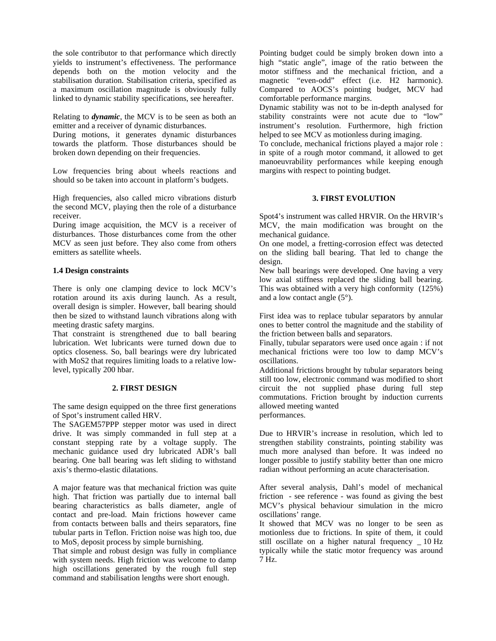the sole contributor to that performance which directly yields to instrument's effectiveness. The performance depends both on the motion velocity and the stabilisation duration. Stabilisation criteria, specified as a maximum oscillation magnitude is obviously fully linked to dynamic stability specifications, see hereafter.

Relating to *dynamic*, the MCV is to be seen as both an emitter and a receiver of dynamic disturbances.

During motions, it generates dynamic disturbances towards the platform. Those disturbances should be broken down depending on their frequencies.

Low frequencies bring about wheels reactions and should so be taken into account in platform's budgets.

High frequencies, also called micro vibrations disturb the second MCV, playing then the role of a disturbance receiver.

During image acquisition, the MCV is a receiver of disturbances. Those disturbances come from the other MCV as seen just before. They also come from others emitters as satellite wheels.

### **1.4 Design constraints**

There is only one clamping device to lock MCV's rotation around its axis during launch. As a result, overall design is simpler. However, ball bearing should then be sized to withstand launch vibrations along with meeting drastic safety margins.

That constraint is strengthened due to ball bearing lubrication. Wet lubricants were turned down due to optics closeness. So, ball bearings were dry lubricated with MoS2 that requires limiting loads to a relative lowlevel, typically 200 hbar.

# **2. FIRST DESIGN**

The same design equipped on the three first generations of Spot's instrument called HRV.

The SAGEM57PPP stepper motor was used in direct drive. It was simply commanded in full step at a constant stepping rate by a voltage supply. The mechanic guidance used dry lubricated ADR's ball bearing. One ball bearing was left sliding to withstand axis's thermo-elastic dilatations.

A major feature was that mechanical friction was quite high. That friction was partially due to internal ball bearing characteristics as balls diameter, angle of contact and pre-load. Main frictions however came from contacts between balls and theirs separators, fine tubular parts in Teflon. Friction noise was high too, due to MoS<sub>2</sub> deposit process by simple burnishing.

That simple and robust design was fully in compliance with system needs. High friction was welcome to damp high oscillations generated by the rough full step command and stabilisation lengths were short enough.

Pointing budget could be simply broken down into a high "static angle", image of the ratio between the motor stiffness and the mechanical friction, and a magnetic "even-odd" effect (i.e. H2 harmonic). Compared to AOCS's pointing budget, MCV had comfortable performance margins.

Dynamic stability was not to be in-depth analysed for stability constraints were not acute due to "low" instrument's resolution. Furthermore, high friction helped to see MCV as motionless during imaging.

To conclude, mechanical frictions played a major role : in spite of a rough motor command, it allowed to get manoeuvrability performances while keeping enough margins with respect to pointing budget.

## **3. FIRST EVOLUTION**

Spot4's instrument was called HRVIR. On the HRVIR's MCV, the main modification was brought on the mechanical guidance.

On one model, a fretting-corrosion effect was detected on the sliding ball bearing. That led to change the design.

New ball bearings were developed. One having a very low axial stiffness replaced the sliding ball bearing. This was obtained with a very high conformity (125%) and a low contact angle (5°).

First idea was to replace tubular separators by annular ones to better control the magnitude and the stability of the friction between balls and separators.

Finally, tubular separators were used once again : if not mechanical frictions were too low to damp MCV's oscillations.

Additional frictions brought by tubular separators being still too low, electronic command was modified to short circuit the not supplied phase during full step commutations. Friction brought by induction currents allowed meeting wanted performances.

Due to HRVIR's increase in resolution, which led to strengthen stability constraints, pointing stability was much more analysed than before. It was indeed no longer possible to justify stability better than one micro radian without performing an acute characterisation.

After several analysis, Dahl's model of mechanical friction - see reference - was found as giving the best MCV's physical behaviour simulation in the micro oscillations' range.

It showed that MCV was no longer to be seen as motionless due to frictions. In spite of them, it could still oscillate on a higher natural frequency \_ 10 Hz typically while the static motor frequency was around 7 Hz.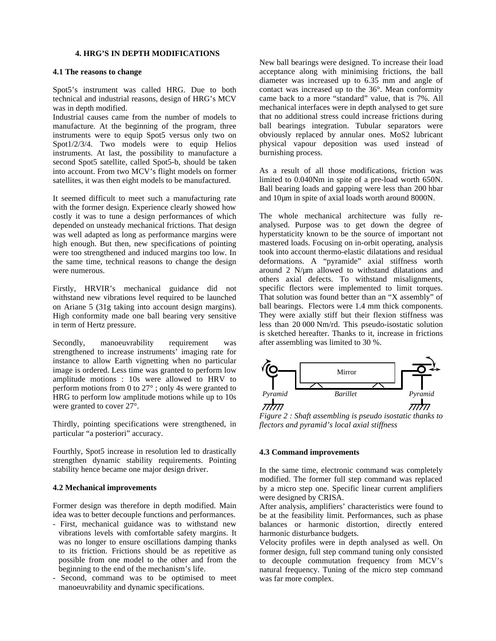# **4. HRG'S IN DEPTH MODIFICATIONS**

#### **4.1 The reasons to change**

Spot5's instrument was called HRG. Due to both technical and industrial reasons, design of HRG's MCV was in depth modified.

Industrial causes came from the number of models to manufacture. At the beginning of the program, three instruments were to equip Spot5 versus only two on Spot1/2/3/4. Two models were to equip Helios instruments. At last, the possibility to manufacture a second Spot5 satellite, called Spot5-b, should be taken into account. From two MCV's flight models on former satellites, it was then eight models to be manufactured.

It seemed difficult to meet such a manufacturing rate with the former design. Experience clearly showed how costly it was to tune a design performances of which depended on unsteady mechanical frictions. That design was well adapted as long as performance margins were high enough. But then, new specifications of pointing were too strengthened and induced margins too low. In the same time, technical reasons to change the design were numerous.

Firstly, HRVIR's mechanical guidance did not withstand new vibrations level required to be launched on Ariane 5 (31g taking into account design margins). High conformity made one ball bearing very sensitive in term of Hertz pressure.

Secondly, manoeuvrability requirement was strengthened to increase instruments' imaging rate for instance to allow Earth vignetting when no particular image is ordered. Less time was granted to perform low amplitude motions : 10s were allowed to HRV to perform motions from 0 to 27° ; only 4s were granted to HRG to perform low amplitude motions while up to 10s were granted to cover 27°.

Thirdly, pointing specifications were strengthened, in particular "a posteriori" accuracy.

Fourthly, Spot5 increase in resolution led to drastically strengthen dynamic stability requirements. Pointing stability hence became one major design driver.

### **4.2 Mechanical improvements**

Former design was therefore in depth modified. Main idea was to better decouple functions and performances.

- First, mechanical guidance was to withstand new vibrations levels with comfortable safety margins. It was no longer to ensure oscillations damping thanks to its friction. Frictions should be as repetitive as possible from one model to the other and from the beginning to the end of the mechanism's life.
- Second, command was to be optimised to meet manoeuvrability and dynamic specifications.

New ball bearings were designed. To increase their load acceptance along with minimising frictions, the ball diameter was increased up to 6.35 mm and angle of contact was increased up to the 36°. Mean conformity came back to a more "standard" value, that is 7%. All mechanical interfaces were in depth analysed to get sure that no additional stress could increase frictions during ball bearings integration. Tubular separators were obviously replaced by annular ones. MoS2 lubricant physical vapour deposition was used instead of burnishing process.

As a result of all those modifications, friction was limited to 0.040Nm in spite of a pre-load worth 650N. Ball bearing loads and gapping were less than 200 hbar and 10µm in spite of axial loads worth around 8000N.

The whole mechanical architecture was fully reanalysed. Purpose was to get down the degree of hyperstaticity known to be the source of important not mastered loads. Focusing on in-orbit operating, analysis took into account thermo-elastic dilatations and residual deformations. A "pyramide" axial stiffness worth around 2 N/µm allowed to withstand dilatations and others axial defects. To withstand misalignments, specific flectors were implemented to limit torques. That solution was found better than an "X assembly" of ball bearings. Flectors were 1.4 mm thick components. They were axially stiff but their flexion stiffness was less than 20 000 Nm/rd. This pseudo-isostatic solution is sketched hereafter. Thanks to it, increase in frictions after assembling was limited to 30 %.



*Figure 2 : Shaft assembling is pseudo isostatic thanks to flectors and pyramid's local axial stiffness*

#### **4.3 Command improvements**

In the same time, electronic command was completely modified. The former full step command was replaced by a micro step one. Specific linear current amplifiers were designed by CRISA.

After analysis, amplifiers' characteristics were found to be at the feasibility limit. Performances, such as phase balances or harmonic distortion, directly entered harmonic disturbance budgets.

Velocity profiles were in depth analysed as well. On former design, full step command tuning only consisted to decouple commutation frequency from MCV's natural frequency. Tuning of the micro step command was far more complex.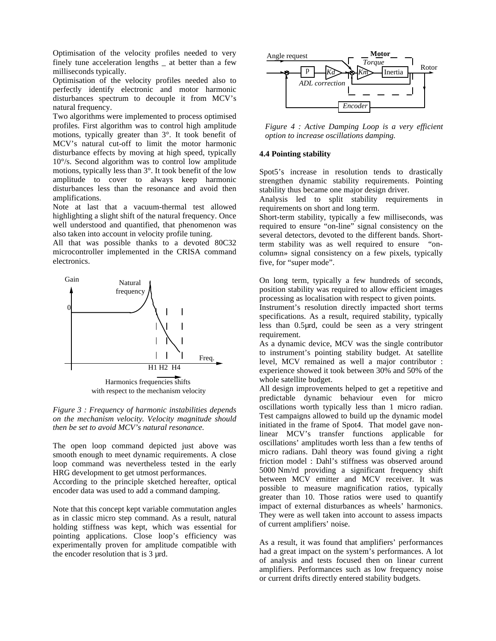Optimisation of the velocity profiles needed to very finely tune acceleration lengths \_ at better than a few milliseconds typically.

Optimisation of the velocity profiles needed also to perfectly identify electronic and motor harmonic disturbances spectrum to decouple it from MCV's natural frequency.

Two algorithms were implemented to process optimised profiles. First algorithm was to control high amplitude motions, typically greater than 3°. It took benefit of MCV's natural cut-off to limit the motor harmonic disturbance effects by moving at high speed, typically 10°/s. Second algorithm was to control low amplitude motions, typically less than 3°. It took benefit of the low amplitude to cover to always keep harmonic disturbances less than the resonance and avoid then amplifications.

Note at last that a vacuum-thermal test allowed highlighting a slight shift of the natural frequency. Once well understood and quantified, that phenomenon was also taken into account in velocity profile tuning.

All that was possible thanks to a devoted 80C32 microcontroller implemented in the CRISA command electronics.



with respect to the mechanism velocity

*Figure 3 : Frequency of harmonic instabilities depends on the mechanism velocity. Velocity magnitude should then be set to avoid MCV's natural resonance.*

The open loop command depicted just above was smooth enough to meet dynamic requirements. A close loop command was nevertheless tested in the early HRG development to get utmost performances.

According to the principle sketched hereafter, optical encoder data was used to add a command damping.

Note that this concept kept variable commutation angles as in classic micro step command. As a result, natural holding stiffness was kept, which was essential for pointing applications. Close loop's efficiency was experimentally proven for amplitude compatible with the encoder resolution that is 3 µrd.



*Figure 4 : Active Damping Loop is a very efficient option to increase oscillations damping.*

### **4.4 Pointing stability**

Spot5's increase in resolution tends to drastically strengthen dynamic stability requirements. Pointing stability thus became one major design driver.

Analysis led to split stability requirements in requirements on short and long term.

Short-term stability, typically a few milliseconds, was required to ensure "on-line" signal consistency on the several detectors, devoted to the different bands. Shortterm stability was as well required to ensure "oncolumn» signal consistency on a few pixels, typically five, for "super mode".

On long term, typically a few hundreds of seconds, position stability was required to allow efficient images processing as localisation with respect to given points.

Instrument's resolution directly impacted short terms specifications. As a result, required stability, typically less than 0.5µrd, could be seen as a very stringent requirement.

As a dynamic device, MCV was the single contributor to instrument's pointing stability budget. At satellite level, MCV remained as well a major contributor : experience showed it took between 30% and 50% of the whole satellite budget.

All design improvements helped to get a repetitive and predictable dynamic behaviour even for micro oscillations worth typically less than 1 micro radian. Test campaigns allowed to build up the dynamic model initiated in the frame of Spot4. That model gave nonlinear MCV's transfer functions applicable for oscillations' amplitudes worth less than a few tenths of micro radians. Dahl theory was found giving a right friction model : Dahl's stiffness was observed around 5000 Nm/rd providing a significant frequency shift between MCV emitter and MCV receiver. It was possible to measure magnification ratios, typically greater than 10. Those ratios were used to quantify impact of external disturbances as wheels' harmonics. They were as well taken into account to assess impacts of current amplifiers' noise.

As a result, it was found that amplifiers' performances had a great impact on the system's performances. A lot of analysis and tests focused then on linear current amplifiers. Performances such as low frequency noise or current drifts directly entered stability budgets.